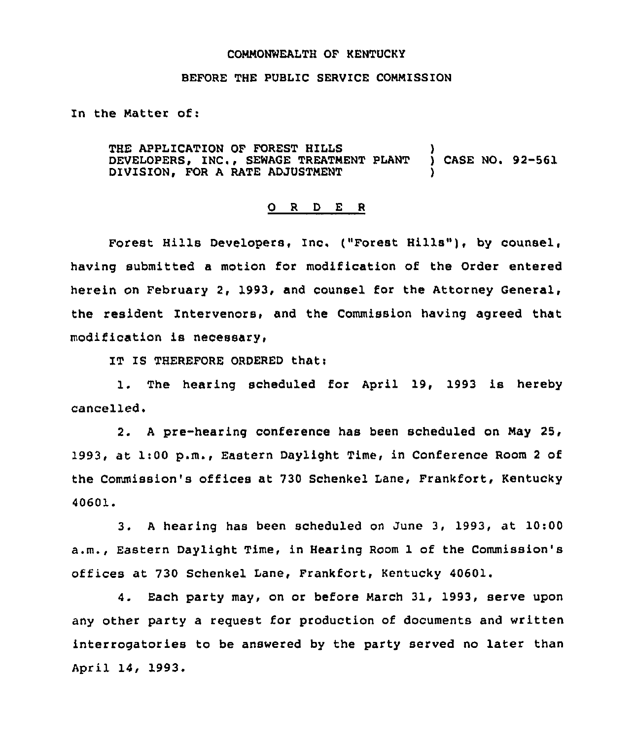## COMMONWEALTH OF KENTUCKY

## BEFORE THE PUBLIC SERVICE COMMISSION

In the Matter of:

THE APPLICATION OF FOREST HILLS (2008)<br>DEVELOPERS, INC., SEWAGE TREATMENT PLANT (2) CASE NO. 92-561 DEVELOPERS, INC., SEWAGE TREATMENT PLANT DIVISION, FOR A RATE ADJUSTMENT

## 0 <sup>R</sup> <sup>D</sup> E <sup>R</sup>

Forest Hills Developers, Inc. ("Forest Hills"), by counsel, having submitted a motion for modification of the Order entered herein on February 2, 1993, and counsel for the Attorney General, the resident Intervenors, and the Commission having agreed that modification is necessary,

IT IS THEREFORE ORDERED that:

1. The hearing scheduled for April 19, 1993 is hereby cancelled.

2. <sup>A</sup> pre-hearing conference has been scheduled on May 25, 1993, at 1:00 p.m., Eastern Daylight Time, in Conference Room <sup>2</sup> of the Commission's offices at 730 Schenkel Lane, Frankfort, Kentucky 40601.

3. <sup>A</sup> hearing has been scheduled on June 3, 1993, at 10:00 a.m., Eastern Daylight Time, in Hearing Room 1 of the Commission'8 offices at 730 Schenkel Lane, Frankfort, Kentucky 40601.

4. Each party may, on or before March 31, 1993, serve upon any other party a request for production of documents and written interrogatories to be answered by the party served no later than April 14, 1993.